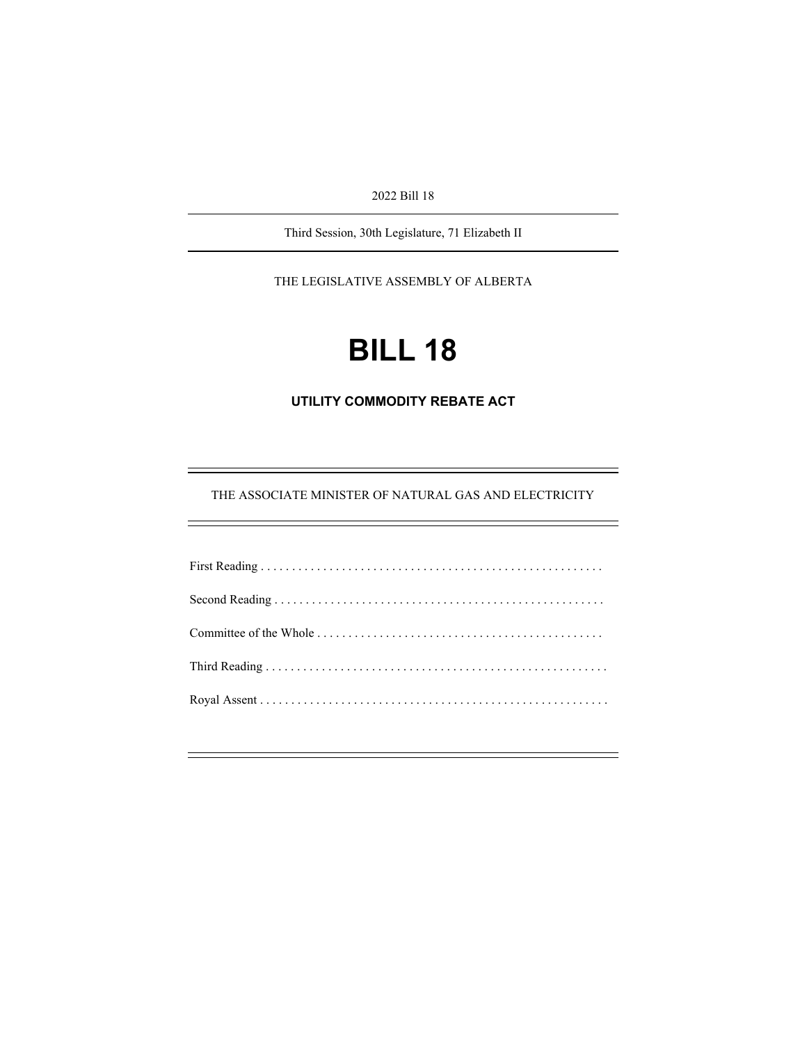2022 Bill 18

Third Session, 30th Legislature, 71 Elizabeth II

THE LEGISLATIVE ASSEMBLY OF ALBERTA

# **BILL 18**

**UTILITY COMMODITY REBATE ACT** 

THE ASSOCIATE MINISTER OF NATURAL GAS AND ELECTRICITY

÷,

Ξ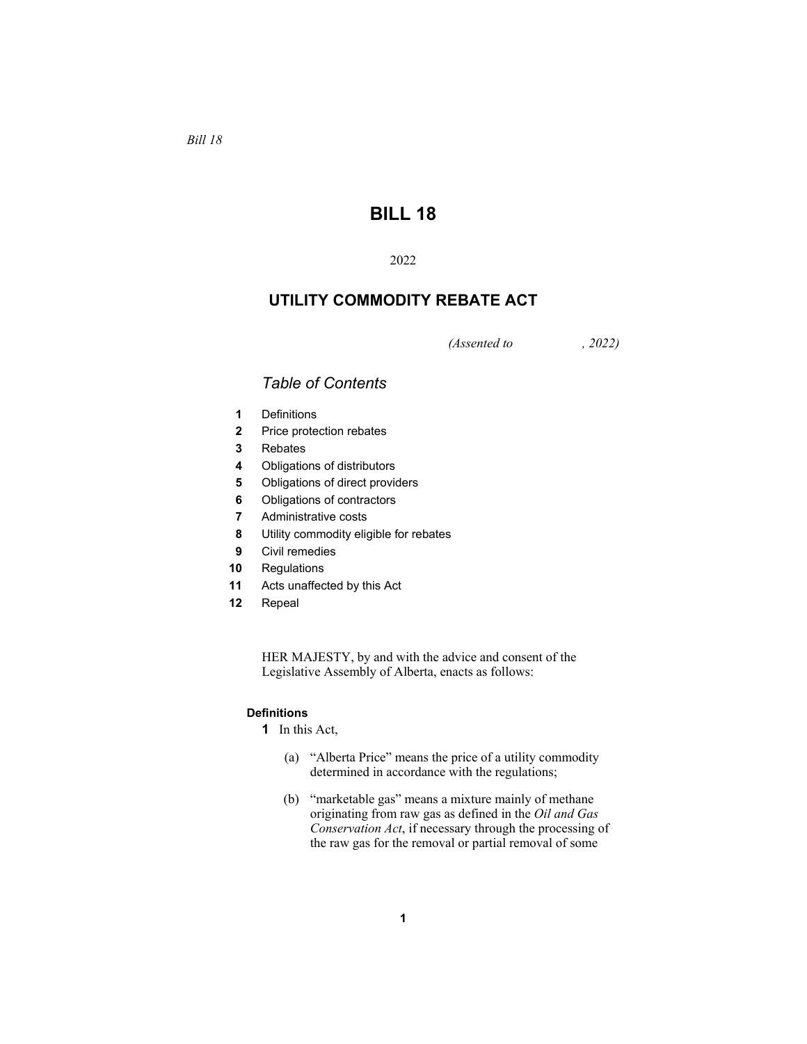*Bill 18* 

# **BILL 18**

# 2022

# **UTILITY COMMODITY REBATE ACT**

*(Assented to , 2022)* 

# *Table of Contents*

- **1** Definitions
- **2** Price protection rebates
- **3** Rebates
- **4** Obligations of distributors
- **5** Obligations of direct providers
- **6** Obligations of contractors
- **7** Administrative costs
- **8** Utility commodity eligible for rebates
- **9** Civil remedies
- **10** Regulations
- **11** Acts unaffected by this Act
- **12** Repeal

HER MAJESTY, by and with the advice and consent of the Legislative Assembly of Alberta, enacts as follows:

# **Definitions**

- **1** In this Act,
	- (a) "Alberta Price" means the price of a utility commodity determined in accordance with the regulations;
	- (b) "marketable gas" means a mixture mainly of methane originating from raw gas as defined in the *Oil and Gas Conservation Act*, if necessary through the processing of the raw gas for the removal or partial removal of some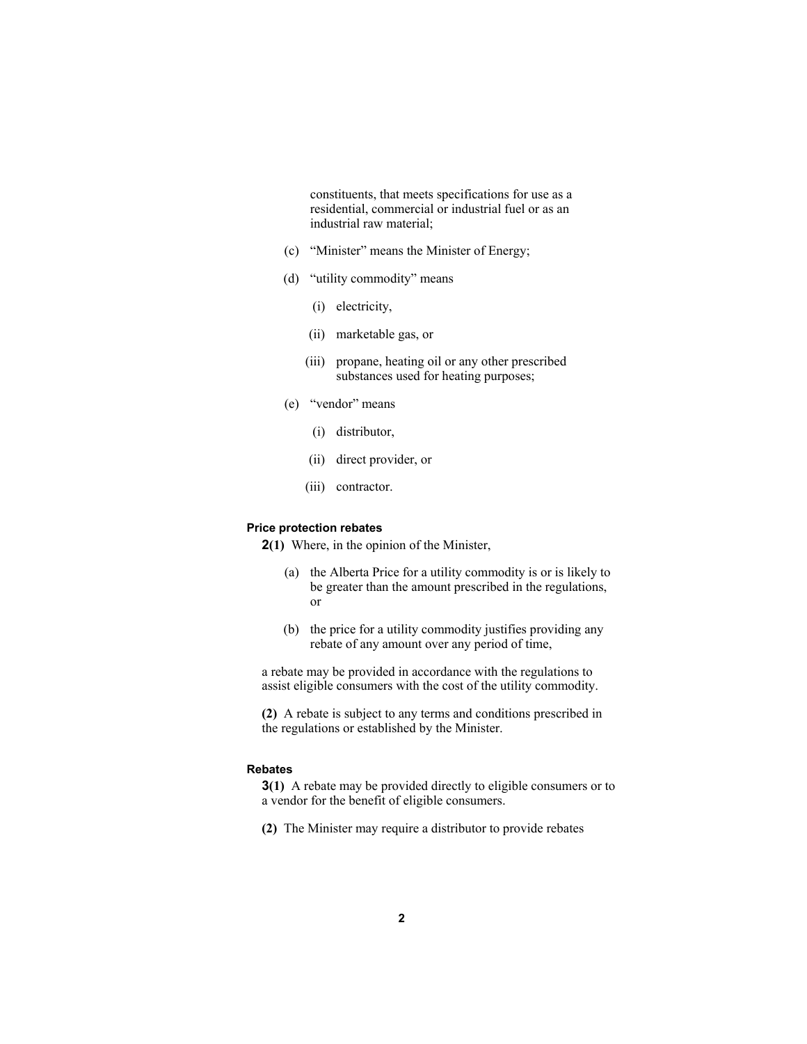constituents, that meets specifications for use as a residential, commercial or industrial fuel or as an industrial raw material;

- (c) "Minister" means the Minister of Energy;
- (d) "utility commodity" means
	- (i) electricity,
	- (ii) marketable gas, or
	- (iii) propane, heating oil or any other prescribed substances used for heating purposes;
- (e) "vendor" means
	- (i) distributor,
	- (ii) direct provider, or
	- (iii) contractor.

#### **Price protection rebates**

**2(1)** Where, in the opinion of the Minister,

- (a) the Alberta Price for a utility commodity is or is likely to be greater than the amount prescribed in the regulations, or
- (b) the price for a utility commodity justifies providing any rebate of any amount over any period of time,

a rebate may be provided in accordance with the regulations to assist eligible consumers with the cost of the utility commodity.

**(2)** A rebate is subject to any terms and conditions prescribed in the regulations or established by the Minister.

## **Rebates**

**3(1)** A rebate may be provided directly to eligible consumers or to a vendor for the benefit of eligible consumers.

**(2)** The Minister may require a distributor to provide rebates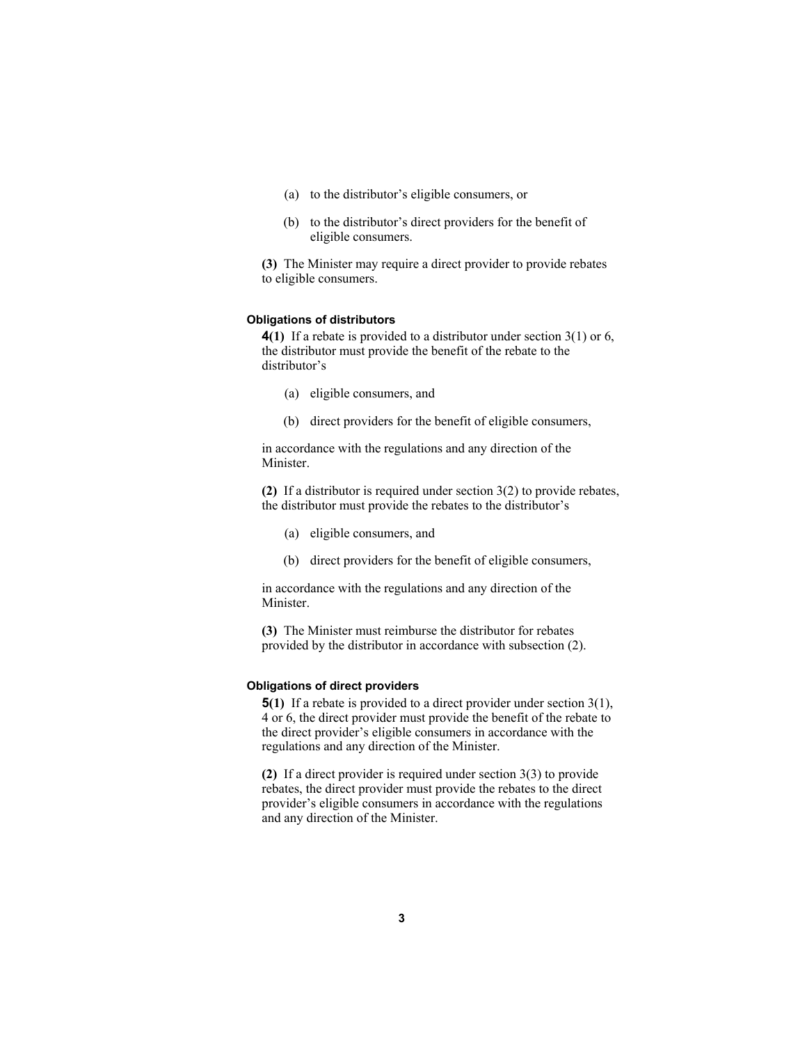- (a) to the distributor's eligible consumers, or
- (b) to the distributor's direct providers for the benefit of eligible consumers.

**(3)** The Minister may require a direct provider to provide rebates to eligible consumers.

## **Obligations of distributors**

**4(1)** If a rebate is provided to a distributor under section 3(1) or 6, the distributor must provide the benefit of the rebate to the distributor's

- (a) eligible consumers, and
- (b) direct providers for the benefit of eligible consumers,

in accordance with the regulations and any direction of the Minister.

**(2)** If a distributor is required under section 3(2) to provide rebates, the distributor must provide the rebates to the distributor's

- (a) eligible consumers, and
- (b) direct providers for the benefit of eligible consumers,

in accordance with the regulations and any direction of the Minister.

**(3)** The Minister must reimburse the distributor for rebates provided by the distributor in accordance with subsection (2).

# **Obligations of direct providers**

**5(1)** If a rebate is provided to a direct provider under section 3(1), 4 or 6, the direct provider must provide the benefit of the rebate to the direct provider's eligible consumers in accordance with the regulations and any direction of the Minister.

**(2)** If a direct provider is required under section 3(3) to provide rebates, the direct provider must provide the rebates to the direct provider's eligible consumers in accordance with the regulations and any direction of the Minister.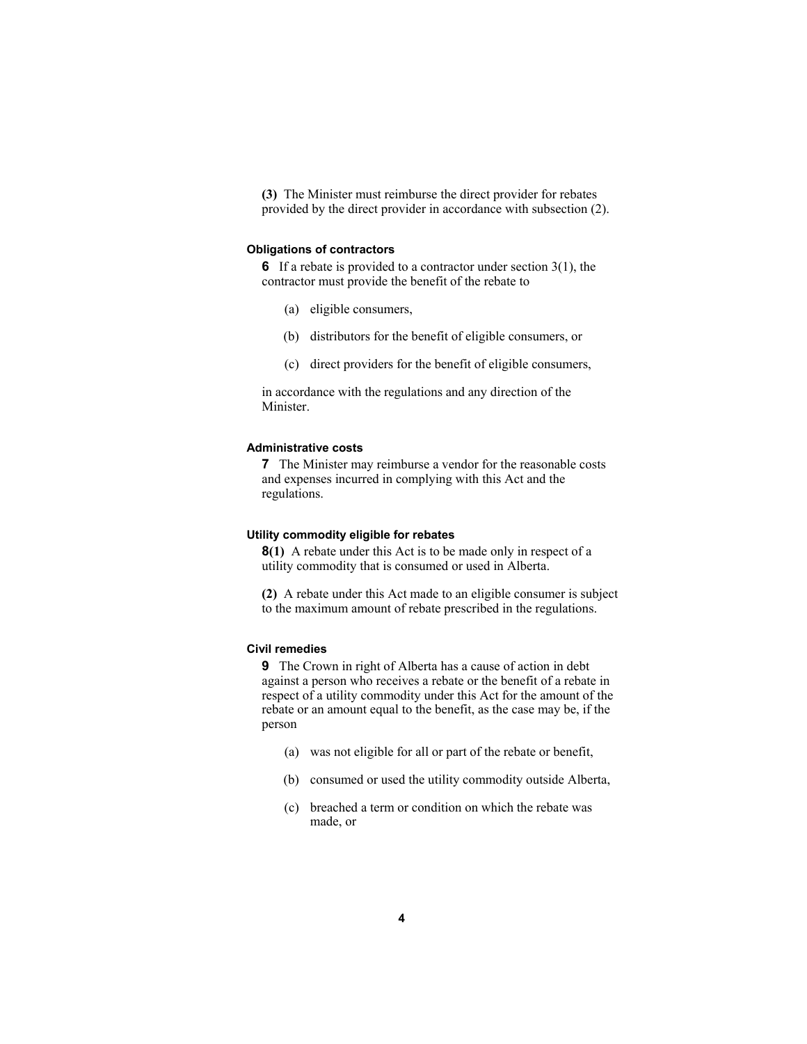**(3)** The Minister must reimburse the direct provider for rebates provided by the direct provider in accordance with subsection (2).

#### **Obligations of contractors**

**6** If a rebate is provided to a contractor under section 3(1), the contractor must provide the benefit of the rebate to

- (a) eligible consumers,
- (b) distributors for the benefit of eligible consumers, or
- (c) direct providers for the benefit of eligible consumers,

in accordance with the regulations and any direction of the Minister.

#### **Administrative costs**

**7** The Minister may reimburse a vendor for the reasonable costs and expenses incurred in complying with this Act and the regulations.

#### **Utility commodity eligible for rebates**

**8(1)** A rebate under this Act is to be made only in respect of a utility commodity that is consumed or used in Alberta.

**(2)** A rebate under this Act made to an eligible consumer is subject to the maximum amount of rebate prescribed in the regulations.

# **Civil remedies**

**9** The Crown in right of Alberta has a cause of action in debt against a person who receives a rebate or the benefit of a rebate in respect of a utility commodity under this Act for the amount of the rebate or an amount equal to the benefit, as the case may be, if the person

- (a) was not eligible for all or part of the rebate or benefit,
- (b) consumed or used the utility commodity outside Alberta,
- (c) breached a term or condition on which the rebate was made, or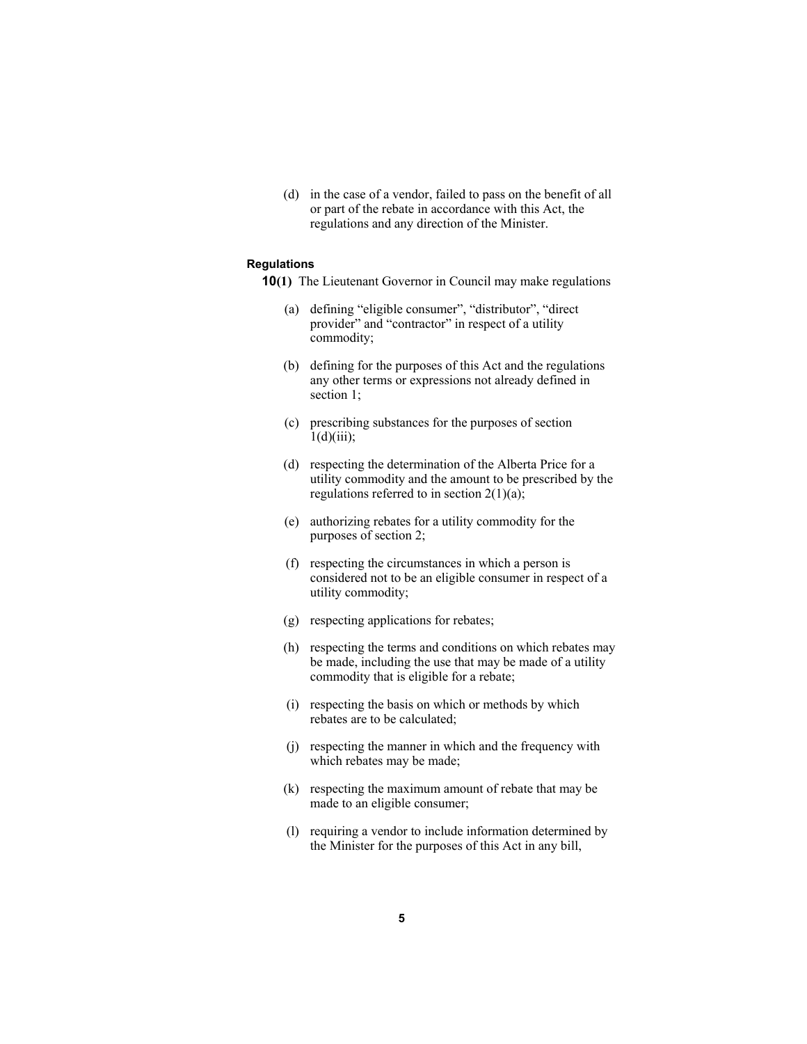(d) in the case of a vendor, failed to pass on the benefit of all or part of the rebate in accordance with this Act, the regulations and any direction of the Minister.

### **Regulations**

- **10(1)** The Lieutenant Governor in Council may make regulations
	- (a) defining "eligible consumer", "distributor", "direct provider" and "contractor" in respect of a utility commodity;
	- (b) defining for the purposes of this Act and the regulations any other terms or expressions not already defined in section 1;
	- (c) prescribing substances for the purposes of section  $1(d)(iii)$ ;
	- (d) respecting the determination of the Alberta Price for a utility commodity and the amount to be prescribed by the regulations referred to in section  $2(1)(a)$ ;
	- (e) authorizing rebates for a utility commodity for the purposes of section 2;
	- (f) respecting the circumstances in which a person is considered not to be an eligible consumer in respect of a utility commodity;
	- (g) respecting applications for rebates;
	- (h) respecting the terms and conditions on which rebates may be made, including the use that may be made of a utility commodity that is eligible for a rebate;
	- (i) respecting the basis on which or methods by which rebates are to be calculated;
	- (j) respecting the manner in which and the frequency with which rebates may be made;
	- (k) respecting the maximum amount of rebate that may be made to an eligible consumer;
	- (l) requiring a vendor to include information determined by the Minister for the purposes of this Act in any bill,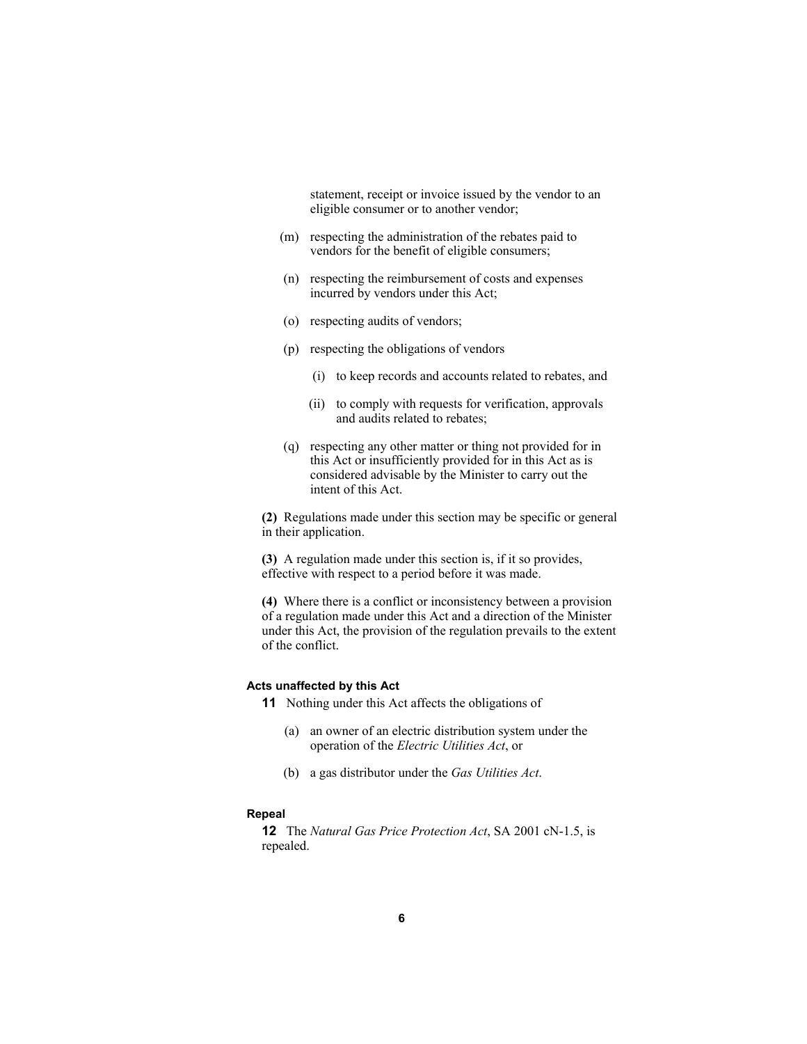statement, receipt or invoice issued by the vendor to an eligible consumer or to another vendor;

- (m) respecting the administration of the rebates paid to vendors for the benefit of eligible consumers;
- (n) respecting the reimbursement of costs and expenses incurred by vendors under this Act;
- (o) respecting audits of vendors;
- (p) respecting the obligations of vendors
	- (i) to keep records and accounts related to rebates, and
	- (ii) to comply with requests for verification, approvals and audits related to rebates;
- (q) respecting any other matter or thing not provided for in this Act or insufficiently provided for in this Act as is considered advisable by the Minister to carry out the intent of this Act.

**(2)** Regulations made under this section may be specific or general in their application.

**(3)** A regulation made under this section is, if it so provides, effective with respect to a period before it was made.

**(4)** Where there is a conflict or inconsistency between a provision of a regulation made under this Act and a direction of the Minister under this Act, the provision of the regulation prevails to the extent of the conflict.

## **Acts unaffected by this Act**

**11** Nothing under this Act affects the obligations of

- (a) an owner of an electric distribution system under the operation of the *Electric Utilities Act*, or
- (b) a gas distributor under the *Gas Utilities Act*.

#### **Repeal**

**12** The *Natural Gas Price Protection Act*, SA 2001 cN-1.5, is repealed.